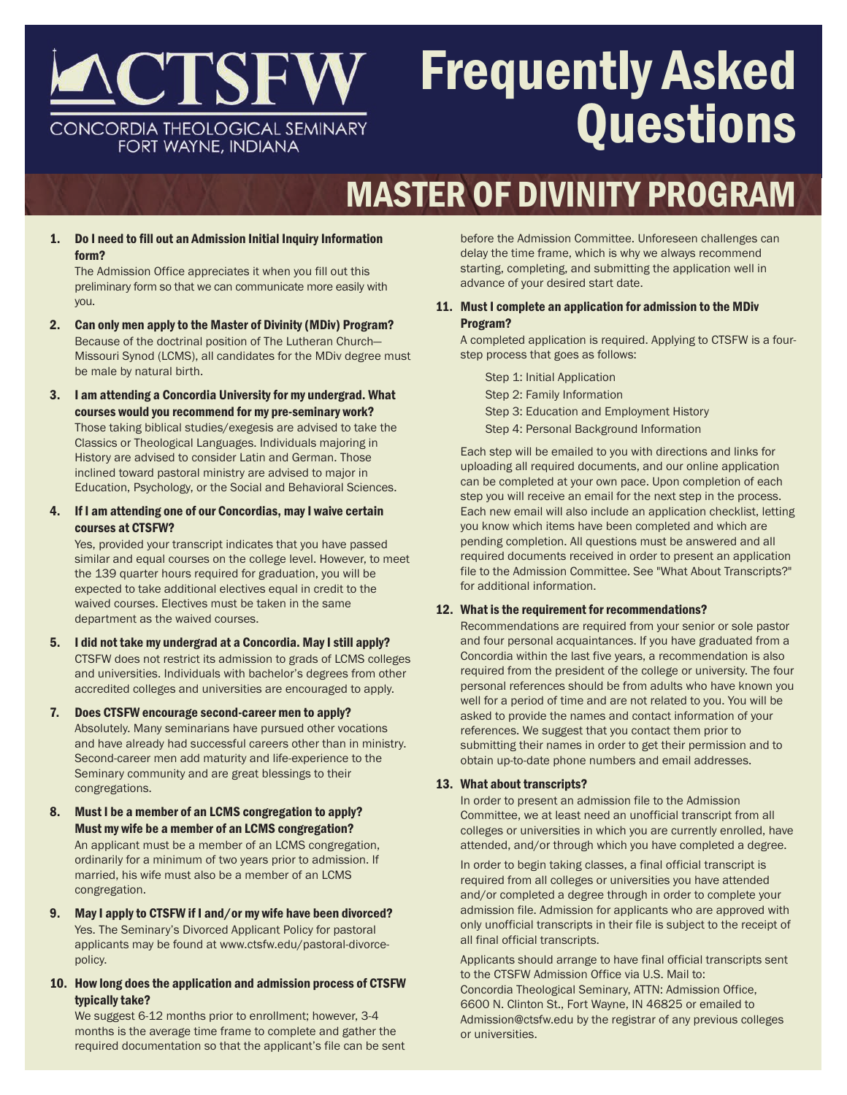

# Frequently Asked **Questions**

# MASTER OF DIVINITY PROGRAM

1. Do I need to fill out an Admission Initial Inquiry Information form?

The Admission Office appreciates it when you fill out this preliminary form so that we can communicate more easily with you.

- 2. Can only men apply to the Master of Divinity (MDiv) Program? Because of the doctrinal position of The Lutheran Church— Missouri Synod (LCMS), all candidates for the MDiv degree must be male by natural birth.
- 3. I am attending a Concordia University for my undergrad. What courses would you recommend for my pre-seminary work? Those taking biblical studies/exegesis are advised to take the Classics or Theological Languages. Individuals majoring in History are advised to consider Latin and German. Those inclined toward pastoral ministry are advised to major in Education, Psychology, or the Social and Behavioral Sciences.
- 4. If I am attending one of our Concordias, may I waive certain courses at CTSFW?

Yes, provided your transcript indicates that you have passed similar and equal courses on the college level. However, to meet the 139 quarter hours required for graduation, you will be expected to take additional electives equal in credit to the waived courses. Electives must be taken in the same department as the waived courses.

- 5. I did not take my undergrad at a Concordia. May I still apply? CTSFW does not restrict its admission to grads of LCMS colleges and universities. Individuals with bachelor's degrees from other accredited colleges and universities are encouraged to apply.
- 7. Does CTSFW encourage second-career men to apply? Absolutely. Many seminarians have pursued other vocations and have already had successful careers other than in ministry. Second-career men add maturity and life-experience to the Seminary community and are great blessings to their congregations.
- 8. Must I be a member of an LCMS congregation to apply? Must my wife be a member of an LCMS congregation? An applicant must be a member of an LCMS congregation, ordinarily for a minimum of two years prior to admission. If married, his wife must also be a member of an LCMS congregation.
- 9. May I apply to CTSFW if I and/or my wife have been divorced? Yes. The Seminary's Divorced Applicant Policy for pastoral applicants may be found at www.ctsfw.edu/pastoral-divorcepolicy.
- 10. How long does the application and admission process of CTSFW typically take?

We suggest 6-12 months prior to enrollment; however, 3-4 months is the average time frame to complete and gather the required documentation so that the applicant's file can be sent before the Admission Committee. Unforeseen challenges can delay the time frame, which is why we always recommend starting, completing, and submitting the application well in advance of your desired start date.

# 11. Must I complete an application for admission to the MDiv Program?

A completed application is required. Applying to CTSFW is a fourstep process that goes as follows:

Step 1: Initial Application Step 2: Family Information Step 3: Education and Employment History Step 4: Personal Background Information

Each step will be emailed to you with directions and links for uploading all required documents, and our online application can be completed at your own pace. Upon completion of each step you will receive an email for the next step in the process. Each new email will also include an application checklist, letting you know which items have been completed and which are pending completion. All questions must be answered and all required documents received in order to present an application file to the Admission Committee. See "What About Transcripts?" for additional information.

# 12. What is the requirement for recommendations?

Recommendations are required from your senior or sole pastor and four personal acquaintances. If you have graduated from a Concordia within the last five years, a recommendation is also required from the president of the college or university. The four personal references should be from adults who have known you well for a period of time and are not related to you. You will be asked to provide the names and contact information of your references. We suggest that you contact them prior to submitting their names in order to get their permission and to obtain up-to-date phone numbers and email addresses.

# 13. What about transcripts?

In order to present an admission file to the Admission Committee, we at least need an unofficial transcript from all colleges or universities in which you are currently enrolled, have attended, and/or through which you have completed a degree.

In order to begin taking classes, a final official transcript is required from all colleges or universities you have attended and/or completed a degree through in order to complete your admission file. Admission for applicants who are approved with only unofficial transcripts in their file is subject to the receipt of all final official transcripts.

Applicants should arrange to have final official transcripts sent to the CTSFW Admission Office via U.S. Mail to: Concordia Theological Seminary, ATTN: Admission Office, 6600 N. Clinton St., Fort Wayne, IN 46825 or emailed to Admission@ctsfw.edu by the registrar of any previous colleges or universities.